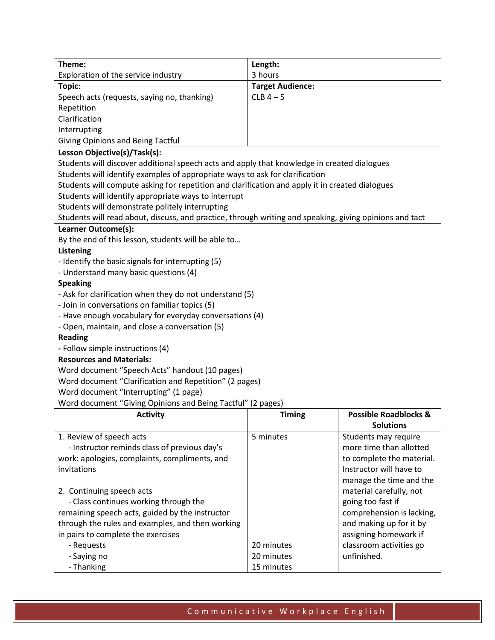| Theme:                                                                                                  | Length:                 |                                  |
|---------------------------------------------------------------------------------------------------------|-------------------------|----------------------------------|
| Exploration of the service industry                                                                     | 3 hours                 |                                  |
| Topic:                                                                                                  | <b>Target Audience:</b> |                                  |
| Speech acts (requests, saying no, thanking)                                                             | $CLB$ 4 - 5             |                                  |
| Repetition                                                                                              |                         |                                  |
| Clarification                                                                                           |                         |                                  |
| Interrupting                                                                                            |                         |                                  |
| <b>Giving Opinions and Being Tactful</b>                                                                |                         |                                  |
| Lesson Objective(s)/Task(s):                                                                            |                         |                                  |
| Students will discover additional speech acts and apply that knowledge in created dialogues             |                         |                                  |
| Students will identify examples of appropriate ways to ask for clarification                            |                         |                                  |
| Students will compute asking for repetition and clarification and apply it in created dialogues         |                         |                                  |
| Students will identify appropriate ways to interrupt                                                    |                         |                                  |
| Students will demonstrate politely interrupting                                                         |                         |                                  |
| Students will read about, discuss, and practice, through writing and speaking, giving opinions and tact |                         |                                  |
| Learner Outcome(s):                                                                                     |                         |                                  |
| By the end of this lesson, students will be able to                                                     |                         |                                  |
| <b>Listening</b>                                                                                        |                         |                                  |
| - Identify the basic signals for interrupting (5)                                                       |                         |                                  |
| - Understand many basic questions (4)                                                                   |                         |                                  |
|                                                                                                         |                         |                                  |
| <b>Speaking</b>                                                                                         |                         |                                  |
| - Ask for clarification when they do not understand (5)                                                 |                         |                                  |
| - Join in conversations on familiar topics (5)                                                          |                         |                                  |
| - Have enough vocabulary for everyday conversations (4)                                                 |                         |                                  |
| - Open, maintain, and close a conversation (5)                                                          |                         |                                  |
| <b>Reading</b>                                                                                          |                         |                                  |
| - Follow simple instructions (4)                                                                        |                         |                                  |
| <b>Resources and Materials:</b>                                                                         |                         |                                  |
| Word document "Speech Acts" handout (10 pages)                                                          |                         |                                  |
| Word document "Clarification and Repetition" (2 pages)                                                  |                         |                                  |
| Word document "Interrupting" (1 page)                                                                   |                         |                                  |
| Word document "Giving Opinions and Being Tactful" (2 pages)                                             |                         |                                  |
| <b>Activity</b>                                                                                         | <b>Timing</b>           | <b>Possible Roadblocks &amp;</b> |
|                                                                                                         |                         | <b>Solutions</b>                 |
| 1. Review of speech acts                                                                                | 5 minutes               | Students may require             |
| - Instructor reminds class of previous day's                                                            |                         | more time than allotted          |
| work: apologies, complaints, compliments, and                                                           |                         | to complete the material.        |
| invitations                                                                                             |                         | Instructor will have to          |
|                                                                                                         |                         | manage the time and the          |
| 2. Continuing speech acts                                                                               |                         | material carefully, not          |
| - Class continues working through the                                                                   |                         | going too fast if                |
| remaining speech acts, guided by the instructor                                                         |                         | comprehension is lacking,        |
| through the rules and examples, and then working                                                        |                         | and making up for it by          |
| in pairs to complete the exercises                                                                      |                         | assigning homework if            |
| - Requests                                                                                              | 20 minutes              | classroom activities go          |
|                                                                                                         | 20 minutes              | unfinished.                      |
| - Saying no                                                                                             |                         |                                  |
| - Thanking                                                                                              | 15 minutes              |                                  |